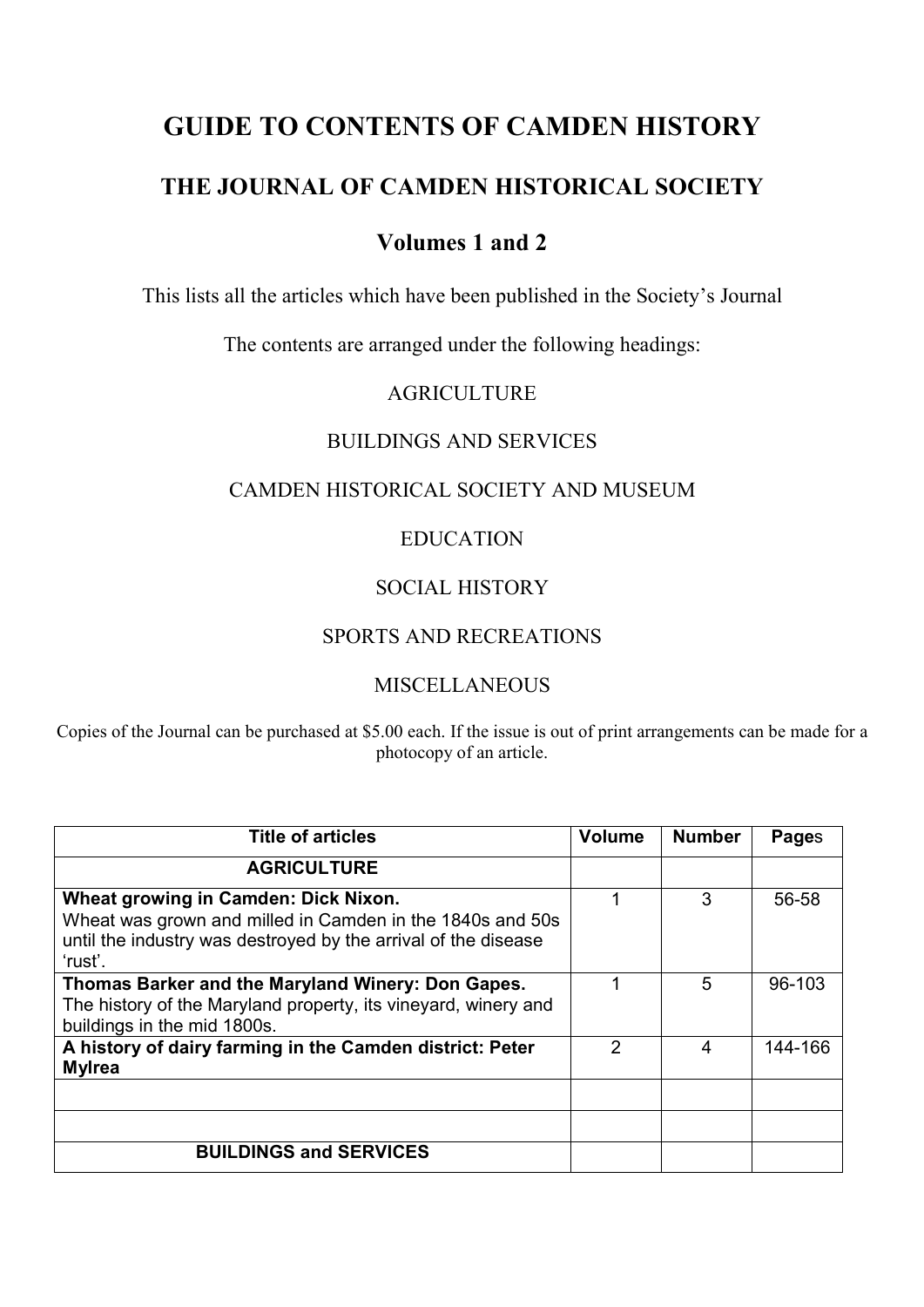# **GUIDE TO CONTENTS OF CAMDEN HISTORY**

# **THE JOURNAL OF CAMDEN HISTORICAL SOCIETY**

# **Volumes 1 and 2**

This lists all the articles which have been published in the Society's Journal

The contents are arranged under the following headings:

## AGRICULTURE

#### BUILDINGS AND SERVICES

#### CAMDEN HISTORICAL SOCIETY AND MUSEUM

#### EDUCATION

## SOCIAL HISTORY

# SPORTS AND RECREATIONS

## MISCELLANEOUS

Copies of the Journal can be purchased at \$5.00 each. If the issue is out of print arrangements can be made for a photocopy of an article.

| <b>Title of articles</b>                                                                                                                                                       | <b>Volume</b> | <b>Number</b> | Pages   |
|--------------------------------------------------------------------------------------------------------------------------------------------------------------------------------|---------------|---------------|---------|
| <b>AGRICULTURE</b>                                                                                                                                                             |               |               |         |
| Wheat growing in Camden: Dick Nixon.<br>Wheat was grown and milled in Camden in the 1840s and 50s<br>until the industry was destroyed by the arrival of the disease<br>'rust'. |               | 3             | 56-58   |
| Thomas Barker and the Maryland Winery: Don Gapes.<br>The history of the Maryland property, its vineyard, winery and<br>buildings in the mid 1800s.                             |               | 5             | 96-103  |
| A history of dairy farming in the Camden district: Peter<br><b>Mylrea</b>                                                                                                      | 2             | 4             | 144-166 |
| <b>BUILDINGS and SERVICES</b>                                                                                                                                                  |               |               |         |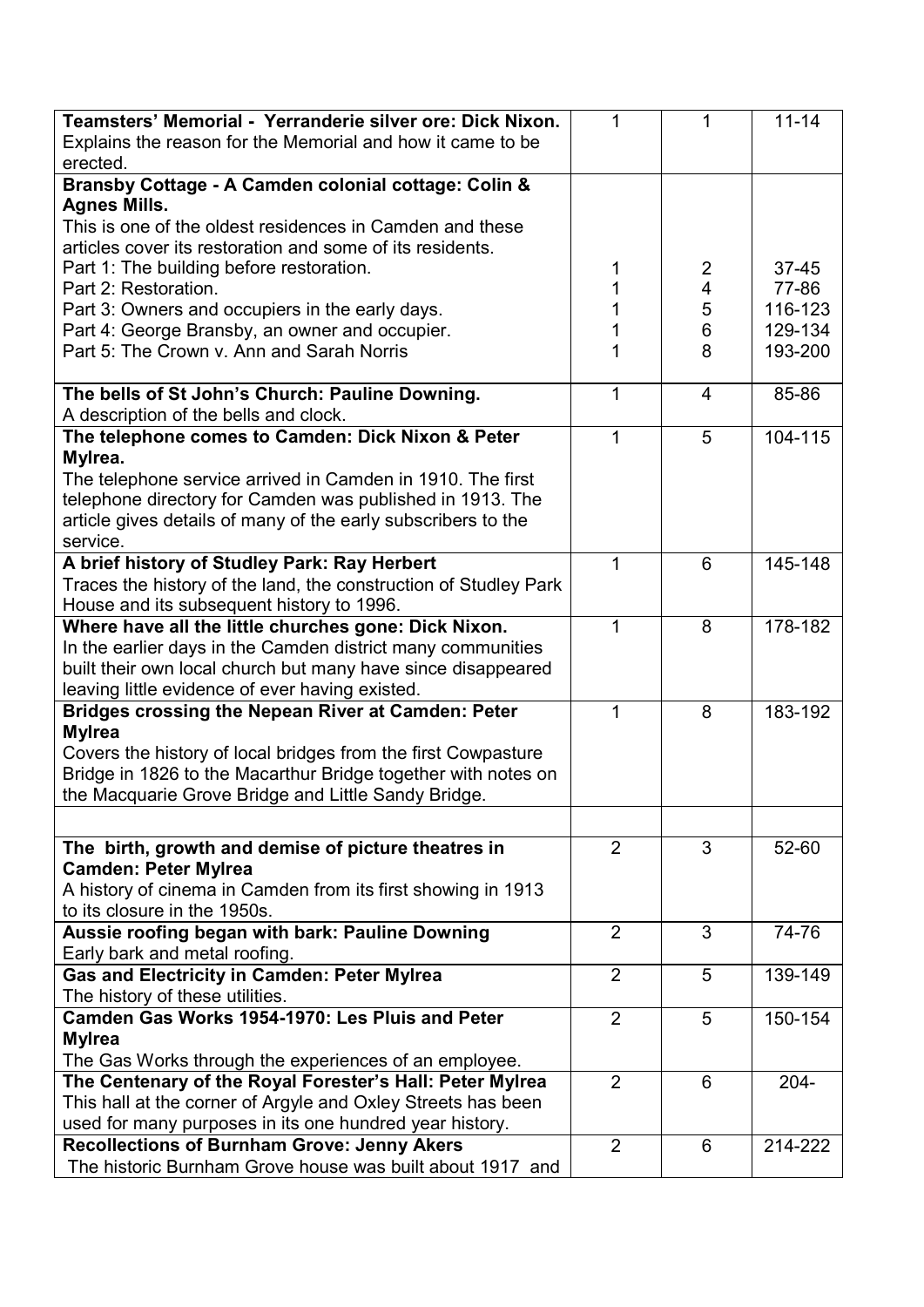| Teamsters' Memorial - Yerranderie silver ore: Dick Nixon.                                    | 1              | 1              | $11 - 14$ |
|----------------------------------------------------------------------------------------------|----------------|----------------|-----------|
| Explains the reason for the Memorial and how it came to be                                   |                |                |           |
| erected.                                                                                     |                |                |           |
| Bransby Cottage - A Camden colonial cottage: Colin &                                         |                |                |           |
| <b>Agnes Mills.</b>                                                                          |                |                |           |
| This is one of the oldest residences in Camden and these                                     |                |                |           |
| articles cover its restoration and some of its residents.                                    |                |                |           |
| Part 1: The building before restoration.                                                     | 1              | $\overline{2}$ | $37 - 45$ |
| Part 2: Restoration.                                                                         | 1              | 4              | 77-86     |
| Part 3: Owners and occupiers in the early days.                                              | 1              | 5              | 116-123   |
| Part 4: George Bransby, an owner and occupier.                                               |                | 6              | 129-134   |
| Part 5: The Crown v. Ann and Sarah Norris                                                    | 1              | 8              | 193-200   |
|                                                                                              |                |                |           |
| The bells of St John's Church: Pauline Downing.                                              | 1              | $\overline{4}$ | 85-86     |
| A description of the bells and clock.                                                        |                |                |           |
| The telephone comes to Camden: Dick Nixon & Peter                                            | $\mathbf{1}$   | 5              | 104-115   |
|                                                                                              |                |                |           |
| Mylrea.                                                                                      |                |                |           |
| The telephone service arrived in Camden in 1910. The first                                   |                |                |           |
| telephone directory for Camden was published in 1913. The                                    |                |                |           |
| article gives details of many of the early subscribers to the                                |                |                |           |
| service.                                                                                     |                |                |           |
| A brief history of Studley Park: Ray Herbert                                                 | 1              | 6              | 145-148   |
| Traces the history of the land, the construction of Studley Park                             |                |                |           |
| House and its subsequent history to 1996.                                                    |                |                |           |
| Where have all the little churches gone: Dick Nixon.                                         | 1              | 8              | 178-182   |
| In the earlier days in the Camden district many communities                                  |                |                |           |
| built their own local church but many have since disappeared                                 |                |                |           |
| leaving little evidence of ever having existed.                                              |                |                |           |
| <b>Bridges crossing the Nepean River at Camden: Peter</b><br><b>Mylrea</b>                   | 1              | 8              | 183-192   |
| Covers the history of local bridges from the first Cowpasture                                |                |                |           |
| Bridge in 1826 to the Macarthur Bridge together with notes on                                |                |                |           |
| the Macquarie Grove Bridge and Little Sandy Bridge.                                          |                |                |           |
|                                                                                              |                |                |           |
|                                                                                              |                |                |           |
| The birth, growth and demise of picture theatres in<br><b>Camden: Peter Mylrea</b>           | $\overline{2}$ | 3              | 52-60     |
|                                                                                              |                |                |           |
| A history of cinema in Camden from its first showing in 1913<br>to its closure in the 1950s. |                |                |           |
|                                                                                              | 2              | 3              |           |
| Aussie roofing began with bark: Pauline Downing                                              |                |                | 74-76     |
| Early bark and metal roofing.                                                                |                |                |           |
| <b>Gas and Electricity in Camden: Peter Mylrea</b>                                           | $\overline{2}$ | 5              | 139-149   |
| The history of these utilities.                                                              |                |                |           |
| Camden Gas Works 1954-1970: Les Pluis and Peter                                              | $\overline{2}$ | 5              | 150-154   |
| <b>Mylrea</b>                                                                                |                |                |           |
| The Gas Works through the experiences of an employee.                                        | $\overline{2}$ | 6              |           |
| The Centenary of the Royal Forester's Hall: Peter Mylrea                                     |                |                | $204 -$   |
| This hall at the corner of Argyle and Oxley Streets has been                                 |                |                |           |
| used for many purposes in its one hundred year history.                                      |                |                |           |
| <b>Recollections of Burnham Grove: Jenny Akers</b>                                           | $\overline{2}$ | 6              | 214-222   |
| The historic Burnham Grove house was built about 1917 and                                    |                |                |           |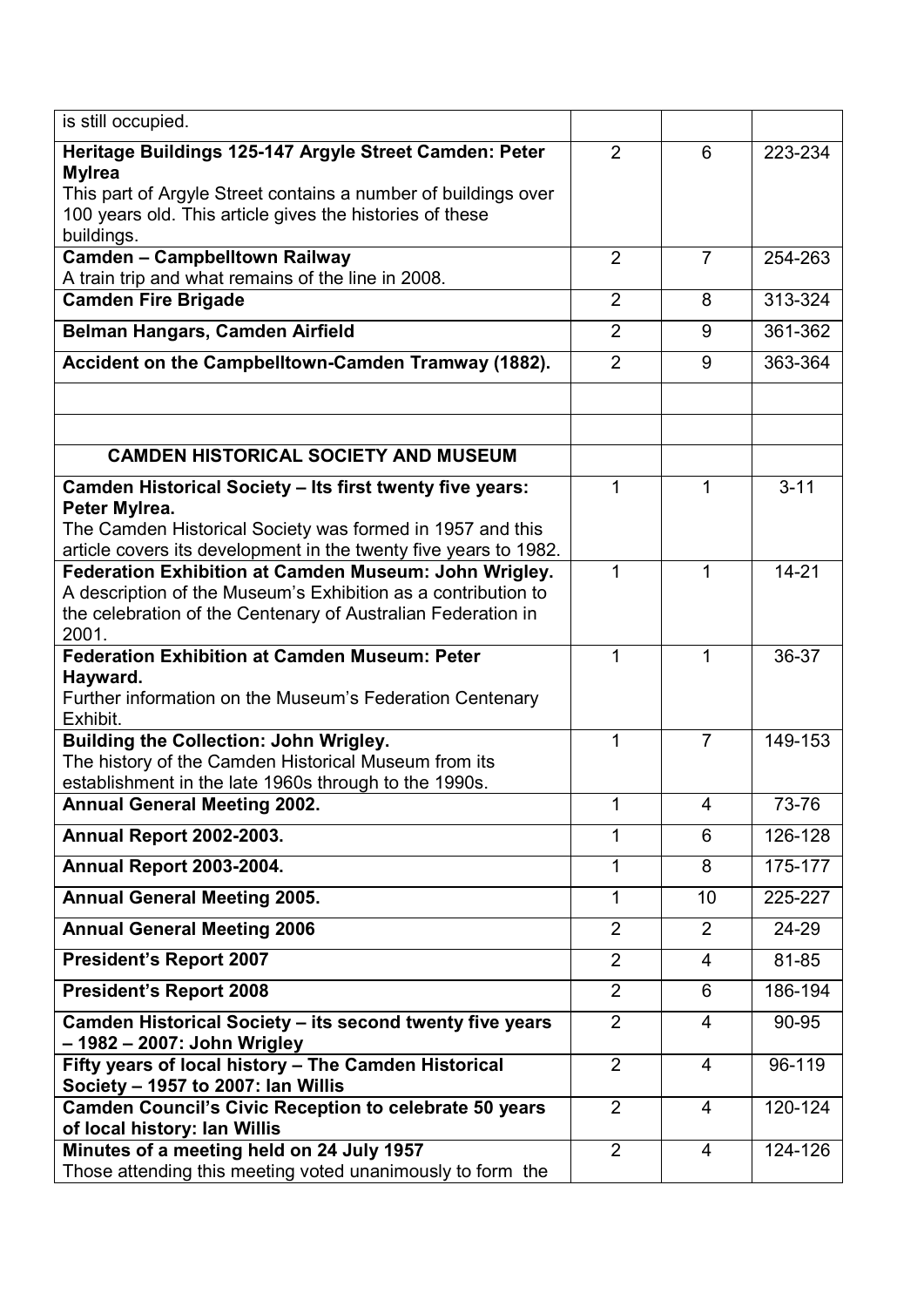| is still occupied.                                                                                                            |                |                |           |
|-------------------------------------------------------------------------------------------------------------------------------|----------------|----------------|-----------|
| Heritage Buildings 125-147 Argyle Street Camden: Peter<br><b>Mylrea</b>                                                       | $\overline{2}$ | 6              | 223-234   |
| This part of Argyle Street contains a number of buildings over<br>100 years old. This article gives the histories of these    |                |                |           |
| buildings.                                                                                                                    |                |                |           |
| <b>Camden - Campbelltown Railway</b><br>A train trip and what remains of the line in 2008.                                    | $\overline{2}$ | $\overline{7}$ | 254-263   |
| <b>Camden Fire Brigade</b>                                                                                                    | $\overline{2}$ | 8              | 313-324   |
| Belman Hangars, Camden Airfield                                                                                               | $\overline{2}$ | 9              | 361-362   |
| Accident on the Campbelltown-Camden Tramway (1882).                                                                           | $\overline{2}$ | 9              | 363-364   |
|                                                                                                                               |                |                |           |
| <b>CAMDEN HISTORICAL SOCIETY AND MUSEUM</b>                                                                                   |                |                |           |
|                                                                                                                               |                |                |           |
| <b>Camden Historical Society - Its first twenty five years:</b><br>Peter Mylrea.                                              | 1              | 1              | $3 - 11$  |
| The Camden Historical Society was formed in 1957 and this<br>article covers its development in the twenty five years to 1982. |                |                |           |
| Federation Exhibition at Camden Museum: John Wrigley.                                                                         | 1              | 1              | $14 - 21$ |
| A description of the Museum's Exhibition as a contribution to                                                                 |                |                |           |
| the celebration of the Centenary of Australian Federation in<br>2001.                                                         |                |                |           |
| <b>Federation Exhibition at Camden Museum: Peter</b>                                                                          | 1              | 1              | 36-37     |
| Hayward.                                                                                                                      |                |                |           |
| Further information on the Museum's Federation Centenary                                                                      |                |                |           |
| Exhibit.<br><b>Building the Collection: John Wrigley.</b>                                                                     | 1              | $\overline{7}$ | 149-153   |
| The history of the Camden Historical Museum from its                                                                          |                |                |           |
| establishment in the late 1960s through to the 1990s.                                                                         |                |                |           |
| <b>Annual General Meeting 2002.</b>                                                                                           | 1              | 4              | 73-76     |
| <b>Annual Report 2002-2003.</b>                                                                                               | 1              | 6              | 126-128   |
| Annual Report 2003-2004.                                                                                                      | 1              | 8              | 175-177   |
| <b>Annual General Meeting 2005.</b>                                                                                           | 1              | 10             | 225-227   |
| <b>Annual General Meeting 2006</b>                                                                                            | $\overline{2}$ | $\overline{2}$ | 24-29     |
| <b>President's Report 2007</b>                                                                                                | $\overline{2}$ | $\overline{4}$ | 81-85     |
| <b>President's Report 2008</b>                                                                                                | $\overline{2}$ | 6              | 186-194   |
| Camden Historical Society - its second twenty five years<br>- 1982 – 2007: John Wrigley                                       | $\overline{2}$ | $\overline{4}$ | 90-95     |
| Fifty years of local history - The Camden Historical<br>Society - 1957 to 2007: Ian Willis                                    | $\overline{2}$ | $\overline{4}$ | 96-119    |
| <b>Camden Council's Civic Reception to celebrate 50 years</b><br>of local history: Ian Willis                                 | $\overline{2}$ | 4              | 120-124   |
| Minutes of a meeting held on 24 July 1957                                                                                     | $\overline{2}$ | 4              | 124-126   |
| Those attending this meeting voted unanimously to form the                                                                    |                |                |           |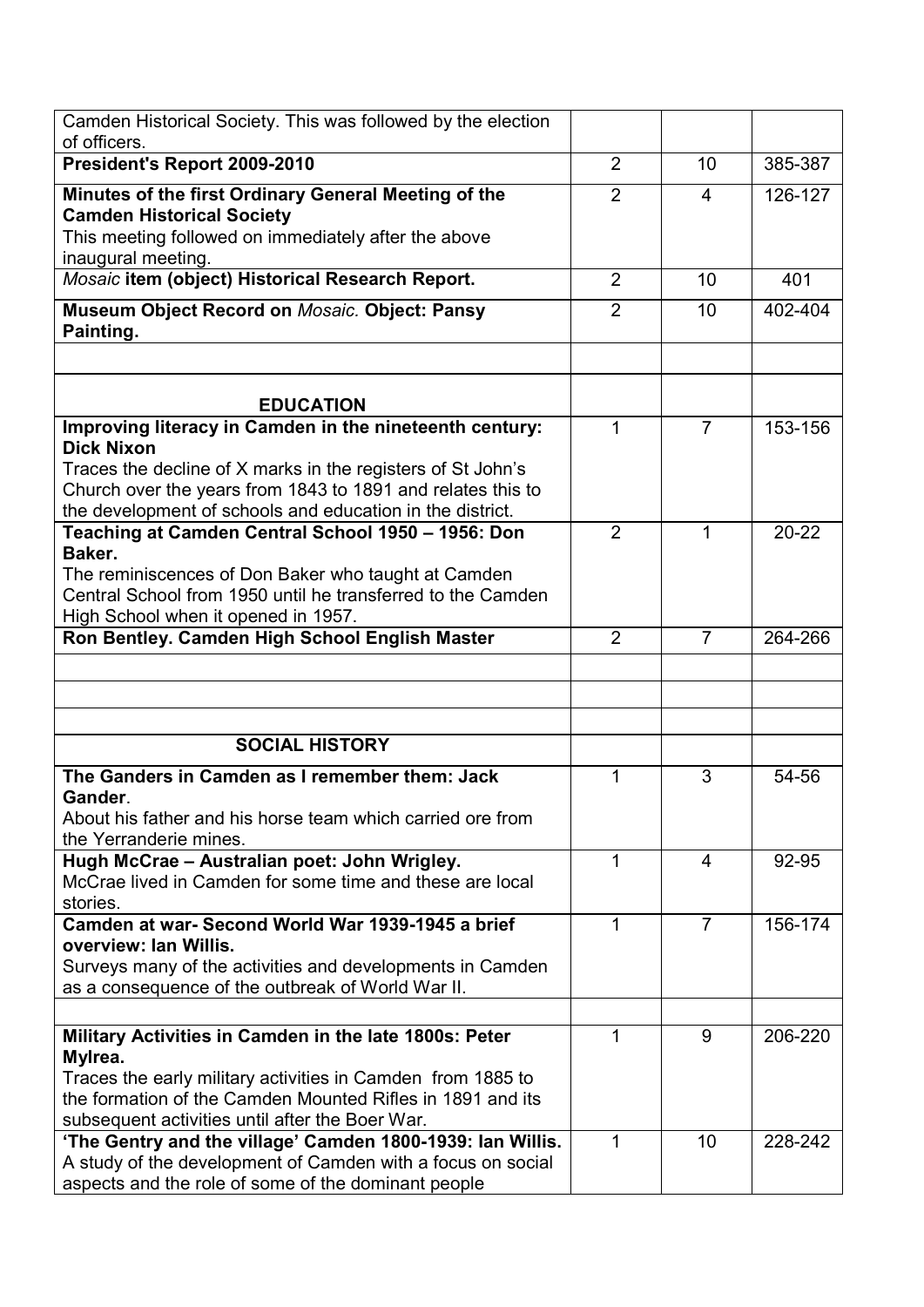| Camden Historical Society. This was followed by the election                                                       |                |                |           |
|--------------------------------------------------------------------------------------------------------------------|----------------|----------------|-----------|
| of officers.                                                                                                       |                |                |           |
| President's Report 2009-2010                                                                                       | $\overline{2}$ | 10             | 385-387   |
| Minutes of the first Ordinary General Meeting of the<br><b>Camden Historical Society</b>                           | $\overline{2}$ | 4              | 126-127   |
| This meeting followed on immediately after the above                                                               |                |                |           |
| inaugural meeting.                                                                                                 |                |                |           |
| Mosaic item (object) Historical Research Report.                                                                   | 2              | 10             | 401       |
| Museum Object Record on Mosaic. Object: Pansy<br>Painting.                                                         | $\overline{2}$ | 10             | 402-404   |
|                                                                                                                    |                |                |           |
| <b>EDUCATION</b>                                                                                                   |                |                |           |
| Improving literacy in Camden in the nineteenth century:<br><b>Dick Nixon</b>                                       | 1              | $\overline{7}$ | 153-156   |
| Traces the decline of X marks in the registers of St John's                                                        |                |                |           |
| Church over the years from 1843 to 1891 and relates this to                                                        |                |                |           |
| the development of schools and education in the district.                                                          |                |                |           |
| Teaching at Camden Central School 1950 - 1956: Don                                                                 | 2              | $\mathbf 1$    | $20 - 22$ |
| Baker.                                                                                                             |                |                |           |
| The reminiscences of Don Baker who taught at Camden<br>Central School from 1950 until he transferred to the Camden |                |                |           |
| High School when it opened in 1957.                                                                                |                |                |           |
| Ron Bentley. Camden High School English Master                                                                     | $\overline{2}$ | $\overline{7}$ | 264-266   |
|                                                                                                                    |                |                |           |
|                                                                                                                    |                |                |           |
|                                                                                                                    |                |                |           |
| <b>SOCIAL HISTORY</b>                                                                                              |                |                |           |
| The Ganders in Camden as I remember them: Jack<br>Gander.                                                          | 1              | 3              | 54-56     |
| About his father and his horse team which carried ore from                                                         |                |                |           |
| the Yerranderie mines.                                                                                             |                |                |           |
| Hugh McCrae - Australian poet: John Wrigley.                                                                       | 1              | 4              | 92-95     |
| McCrae lived in Camden for some time and these are local                                                           |                |                |           |
| stories.                                                                                                           |                |                |           |
| Camden at war- Second World War 1939-1945 a brief<br>overview: Ian Willis.                                         | 1              | $\overline{7}$ | 156-174   |
| Surveys many of the activities and developments in Camden                                                          |                |                |           |
| as a consequence of the outbreak of World War II.                                                                  |                |                |           |
|                                                                                                                    |                |                |           |
| Military Activities in Camden in the late 1800s: Peter                                                             | 1              | 9              | 206-220   |
| Mylrea.                                                                                                            |                |                |           |
| Traces the early military activities in Camden from 1885 to                                                        |                |                |           |
| the formation of the Camden Mounted Rifles in 1891 and its                                                         |                |                |           |
| subsequent activities until after the Boer War.                                                                    |                |                |           |
| 'The Gentry and the village' Camden 1800-1939: Ian Willis.                                                         | 1              | 10             | 228-242   |
| A study of the development of Camden with a focus on social<br>aspects and the role of some of the dominant people |                |                |           |
|                                                                                                                    |                |                |           |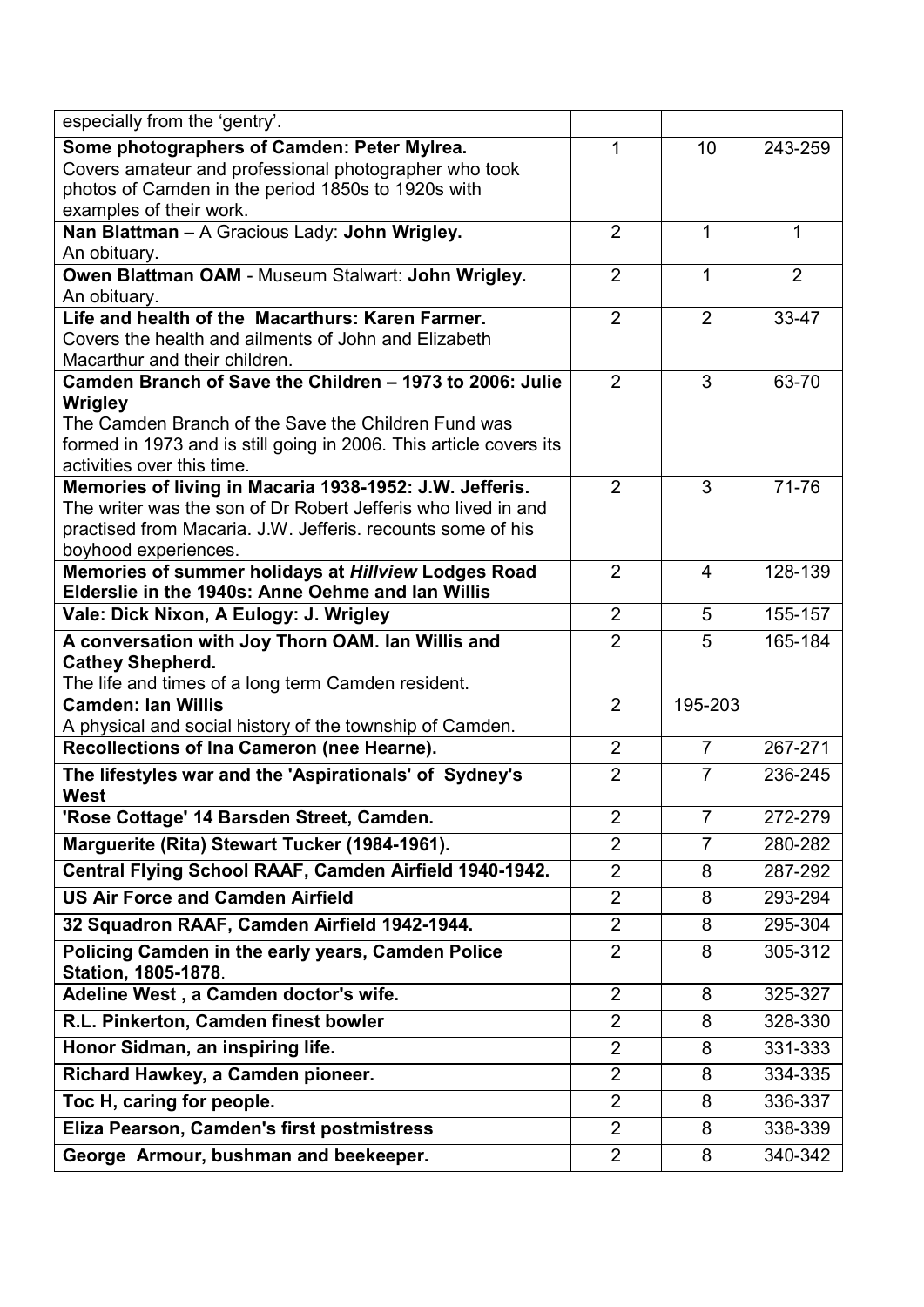| especially from the 'gentry'.                                                         |                |                |         |
|---------------------------------------------------------------------------------------|----------------|----------------|---------|
| Some photographers of Camden: Peter Mylrea.                                           | 1              | 10             | 243-259 |
| Covers amateur and professional photographer who took                                 |                |                |         |
| photos of Camden in the period 1850s to 1920s with                                    |                |                |         |
| examples of their work.                                                               |                |                |         |
| Nan Blattman - A Gracious Lady: John Wrigley.<br>An obituary.                         | $\overline{2}$ | 1              | 1       |
| Owen Blattman OAM - Museum Stalwart: John Wrigley.                                    | $\overline{2}$ | $\mathbf 1$    | 2       |
| An obituary.                                                                          |                |                |         |
| Life and health of the Macarthurs: Karen Farmer.                                      | $\overline{2}$ | $\overline{2}$ | 33-47   |
| Covers the health and ailments of John and Elizabeth                                  |                |                |         |
| Macarthur and their children.                                                         |                |                |         |
| Camden Branch of Save the Children - 1973 to 2006: Julie                              | $\overline{2}$ | 3              | 63-70   |
| Wrigley                                                                               |                |                |         |
| The Camden Branch of the Save the Children Fund was                                   |                |                |         |
| formed in 1973 and is still going in 2006. This article covers its                    |                |                |         |
| activities over this time.<br>Memories of living in Macaria 1938-1952: J.W. Jefferis. | $\overline{2}$ | 3              | 71-76   |
| The writer was the son of Dr Robert Jefferis who lived in and                         |                |                |         |
| practised from Macaria. J.W. Jefferis. recounts some of his                           |                |                |         |
| boyhood experiences.                                                                  |                |                |         |
| Memories of summer holidays at Hillview Lodges Road                                   | $\overline{2}$ | 4              | 128-139 |
| Elderslie in the 1940s: Anne Oehme and lan Willis                                     |                |                |         |
| Vale: Dick Nixon, A Eulogy: J. Wrigley                                                | $\overline{2}$ | 5              | 155-157 |
| A conversation with Joy Thorn OAM. Ian Willis and                                     | $\overline{2}$ | 5              | 165-184 |
| <b>Cathey Shepherd.</b>                                                               |                |                |         |
| The life and times of a long term Camden resident.                                    |                |                |         |
| <b>Camden: Ian Willis</b>                                                             | $\overline{2}$ | 195-203        |         |
| A physical and social history of the township of Camden.                              | $\overline{2}$ | $\overline{7}$ | 267-271 |
| Recollections of Ina Cameron (nee Hearne).                                            |                |                |         |
| The lifestyles war and the 'Aspirationals' of Sydney's<br><b>West</b>                 | $\overline{2}$ | $\overline{7}$ | 236-245 |
| 'Rose Cottage' 14 Barsden Street, Camden.                                             | $\overline{2}$ | 7              | 272-279 |
| Marguerite (Rita) Stewart Tucker (1984-1961).                                         | $\overline{2}$ | $\overline{7}$ | 280-282 |
| Central Flying School RAAF, Camden Airfield 1940-1942.                                | $\overline{2}$ | 8              | 287-292 |
| <b>US Air Force and Camden Airfield</b>                                               | $\overline{2}$ | 8              | 293-294 |
| 32 Squadron RAAF, Camden Airfield 1942-1944.                                          | $\overline{2}$ | 8              | 295-304 |
| Policing Camden in the early years, Camden Police                                     | $\overline{2}$ | 8              | 305-312 |
| <b>Station, 1805-1878.</b>                                                            |                |                |         |
| Adeline West, a Camden doctor's wife.                                                 | $\overline{2}$ | 8              | 325-327 |
| R.L. Pinkerton, Camden finest bowler                                                  | $\overline{2}$ | 8              | 328-330 |
| Honor Sidman, an inspiring life.                                                      | $\overline{2}$ | 8              | 331-333 |
| Richard Hawkey, a Camden pioneer.                                                     | $\overline{2}$ | 8              | 334-335 |
| Toc H, caring for people.                                                             | $\overline{2}$ | 8              | 336-337 |
| Eliza Pearson, Camden's first postmistress                                            | $\overline{2}$ | 8              | 338-339 |
| George Armour, bushman and beekeeper.                                                 | $\overline{2}$ | 8              | 340-342 |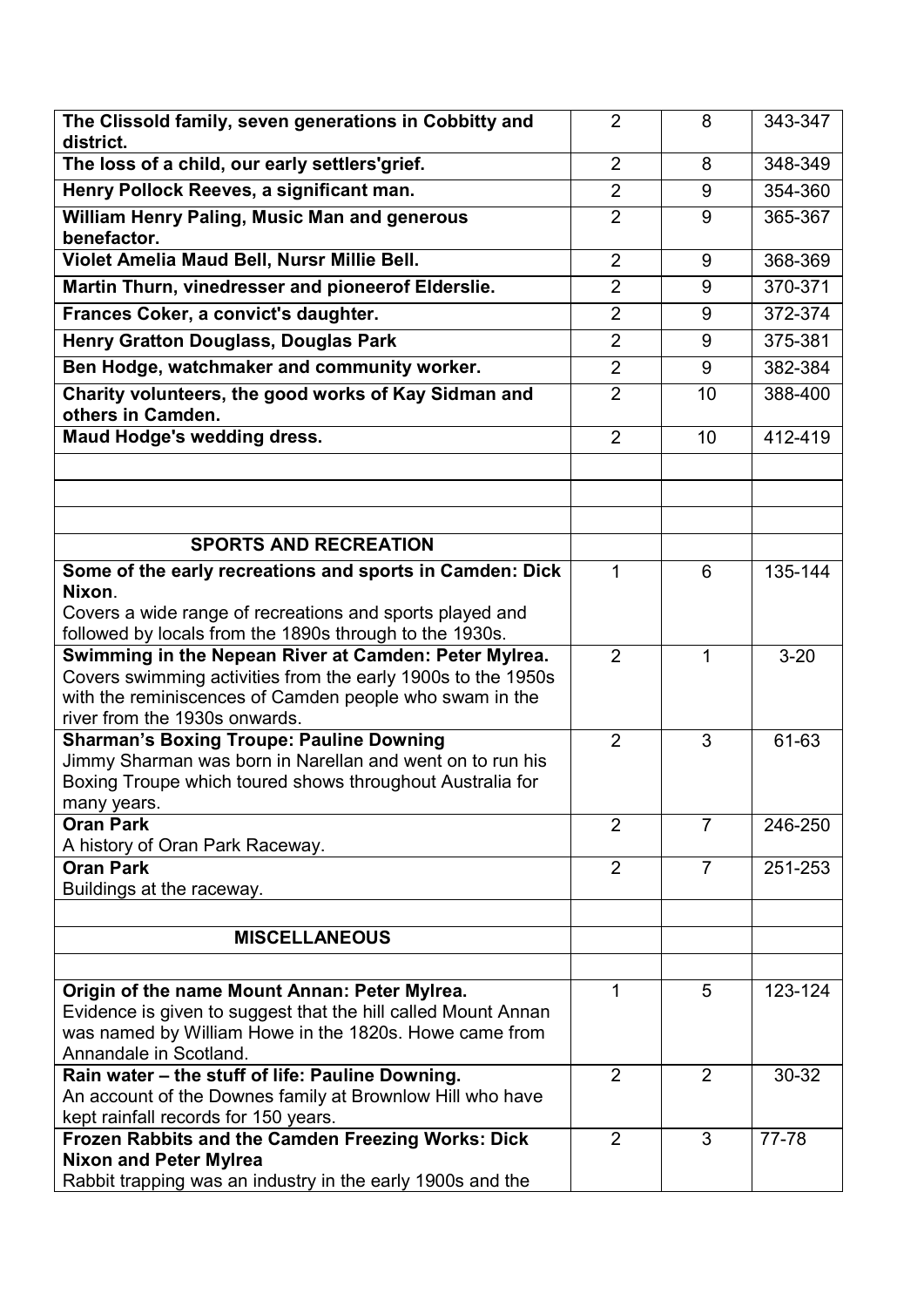| The Clissold family, seven generations in Cobbitty and                                                                  | $\overline{2}$ | 8              | 343-347   |
|-------------------------------------------------------------------------------------------------------------------------|----------------|----------------|-----------|
| district.                                                                                                               | $\overline{2}$ | 8              | 348-349   |
| The loss of a child, our early settlers'grief.                                                                          |                |                |           |
| Henry Pollock Reeves, a significant man.                                                                                | $\overline{2}$ | 9              | 354-360   |
| William Henry Paling, Music Man and generous<br>benefactor.                                                             | $\overline{2}$ | 9              | 365-367   |
| Violet Amelia Maud Bell, Nursr Millie Bell.                                                                             | $\overline{2}$ | 9              | 368-369   |
| Martin Thurn, vinedresser and pioneerof Elderslie.                                                                      | $\overline{2}$ | 9              | 370-371   |
| Frances Coker, a convict's daughter.                                                                                    | $\overline{2}$ | 9              | 372-374   |
| <b>Henry Gratton Douglass, Douglas Park</b>                                                                             | $\overline{2}$ | 9              | 375-381   |
| Ben Hodge, watchmaker and community worker.                                                                             | $\overline{2}$ | 9              | 382-384   |
| Charity volunteers, the good works of Kay Sidman and<br>others in Camden.                                               | $\overline{2}$ | 10             | 388-400   |
| Maud Hodge's wedding dress.                                                                                             | $\overline{2}$ | 10             | 412-419   |
|                                                                                                                         |                |                |           |
|                                                                                                                         |                |                |           |
|                                                                                                                         |                |                |           |
| <b>SPORTS AND RECREATION</b>                                                                                            |                |                |           |
| Some of the early recreations and sports in Camden: Dick                                                                | 1              | 6              | 135-144   |
| Nixon.                                                                                                                  |                |                |           |
| Covers a wide range of recreations and sports played and                                                                |                |                |           |
| followed by locals from the 1890s through to the 1930s.                                                                 | $\overline{2}$ |                |           |
| Swimming in the Nepean River at Camden: Peter Mylrea.<br>Covers swimming activities from the early 1900s to the 1950s   |                | 1              | $3 - 20$  |
| with the reminiscences of Camden people who swam in the                                                                 |                |                |           |
| river from the 1930s onwards.                                                                                           |                |                |           |
| <b>Sharman's Boxing Troupe: Pauline Downing</b>                                                                         | $\overline{2}$ | 3              | 61-63     |
| Jimmy Sharman was born in Narellan and went on to run his                                                               |                |                |           |
| Boxing Troupe which toured shows throughout Australia for                                                               |                |                |           |
| many years.<br><b>Oran Park</b>                                                                                         | $\overline{2}$ | $\overline{7}$ | 246-250   |
| A history of Oran Park Raceway.                                                                                         |                |                |           |
| <b>Oran Park</b>                                                                                                        | $\overline{2}$ | $\overline{7}$ | 251-253   |
| Buildings at the raceway.                                                                                               |                |                |           |
|                                                                                                                         |                |                |           |
| <b>MISCELLANEOUS</b>                                                                                                    |                |                |           |
|                                                                                                                         |                |                |           |
| Origin of the name Mount Annan: Peter Mylrea.                                                                           | 1              | 5              | 123-124   |
| Evidence is given to suggest that the hill called Mount Annan<br>was named by William Howe in the 1820s. Howe came from |                |                |           |
| Annandale in Scotland.                                                                                                  |                |                |           |
| Rain water - the stuff of life: Pauline Downing.                                                                        | $\overline{2}$ | $\overline{2}$ | $30 - 32$ |
| An account of the Downes family at Brownlow Hill who have                                                               |                |                |           |
| kept rainfall records for 150 years.                                                                                    |                |                |           |
| Frozen Rabbits and the Camden Freezing Works: Dick                                                                      | 2              | 3              | 77-78     |
| <b>Nixon and Peter Mylrea</b><br>Rabbit trapping was an industry in the early 1900s and the                             |                |                |           |
|                                                                                                                         |                |                |           |